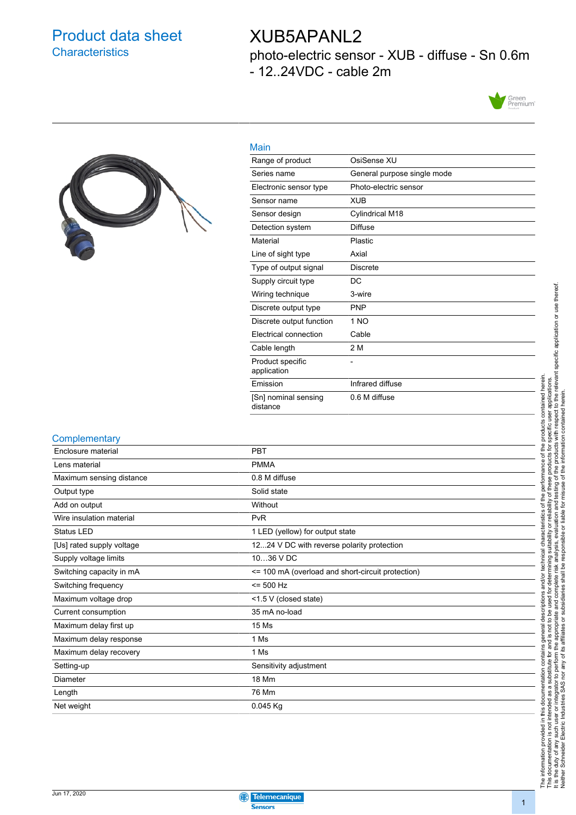## Product data sheet **Characteristics**

## XUB5APANL2

photo-electric sensor - XUB - diffuse - Sn 0.6m - 12..24VDC - cable 2m





| OsiSense XU                 |
|-----------------------------|
| General purpose single mode |
| Photo-electric sensor       |
| <b>XUB</b>                  |
| Cylindrical M18             |
| Diffuse                     |
| Plastic                     |
| Axial                       |
| <b>Discrete</b>             |
| DC                          |
| 3-wire                      |
| <b>PNP</b>                  |
| 1 <sub>NO</sub>             |
| Cable                       |
| 2 M                         |
|                             |
| Infrared diffuse            |
| 0.6 M diffuse               |
|                             |

#### **Complementary**

| <b>PBT</b>                                        |
|---------------------------------------------------|
| <b>PMMA</b>                                       |
| 0.8 M diffuse                                     |
| Solid state                                       |
| Without                                           |
| PvR                                               |
| 1 LED (yellow) for output state                   |
| 1224 V DC with reverse polarity protection        |
| 1036 V DC                                         |
| <= 100 mA (overload and short-circuit protection) |
| $= 500$ Hz                                        |
| <1.5 V (closed state)                             |
| 35 mA no-load                                     |
| 15 Ms                                             |
| 1 Ms                                              |
| 1 Ms                                              |
| Sensitivity adjustment                            |
| <b>18 Mm</b>                                      |
| 76 Mm                                             |
| $0.045$ Kg                                        |
|                                                   |

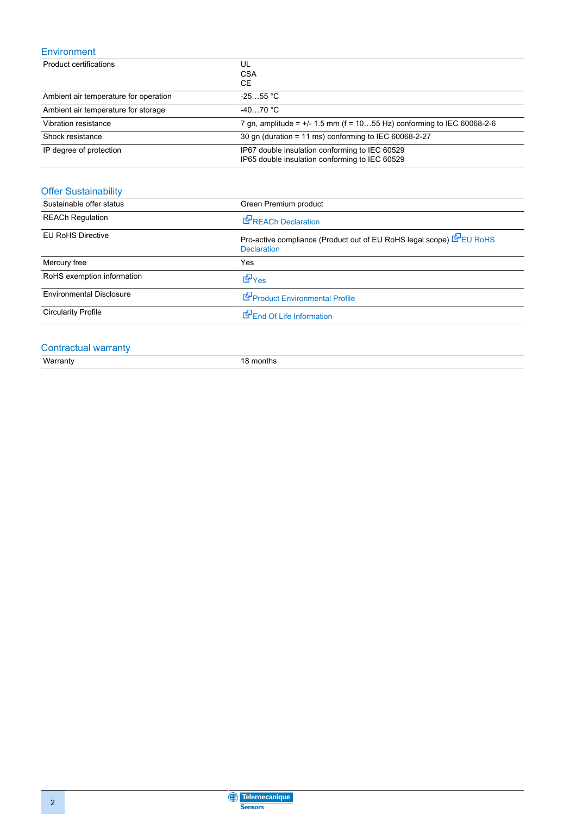### Environment

| Product certifications                | UL<br><b>CSA</b><br>CE.                                                                          |
|---------------------------------------|--------------------------------------------------------------------------------------------------|
| Ambient air temperature for operation | $-2555$ °C                                                                                       |
| Ambient air temperature for storage   | $-4070 °C$                                                                                       |
| Vibration resistance                  | 7 gn, amplitude = $+/$ 1.5 mm (f = 1055 Hz) conforming to IEC 60068-2-6                          |
| Shock resistance                      | 30 gn (duration = 11 ms) conforming to IEC 60068-2-27                                            |
| IP degree of protection               | IP67 double insulation conforming to IEC 60529<br>IP65 double insulation conforming to IEC 60529 |

## Offer Sustainability

| Sustainable offer status        | Green Premium product                                                                      |
|---------------------------------|--------------------------------------------------------------------------------------------|
| <b>REACh Regulation</b>         | REACh Declaration                                                                          |
| <b>EU RoHS Directive</b>        | Pro-active compliance (Product out of EU RoHS legal scope) EPEU RoHS<br><b>Declaration</b> |
| Mercury free                    | Yes                                                                                        |
| RoHS exemption information      | <b>E</b> Yes                                                                               |
| <b>Environmental Disclosure</b> | Product Environmental Profile                                                              |
| <b>Circularity Profile</b>      | End Of Life Information                                                                    |

# Contractual warranty<br>Warranty

18 months

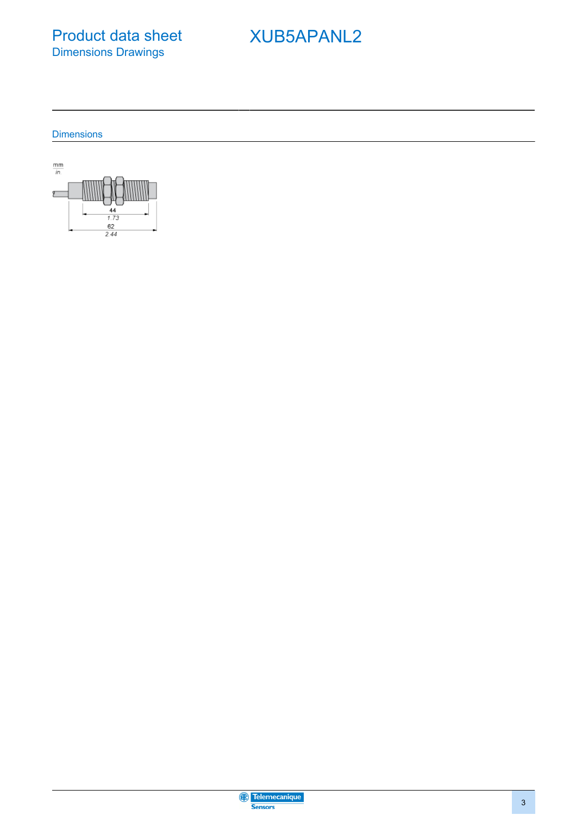Product data sheet Dimensions Drawings

# XUB5APANL2

**Dimensions** 



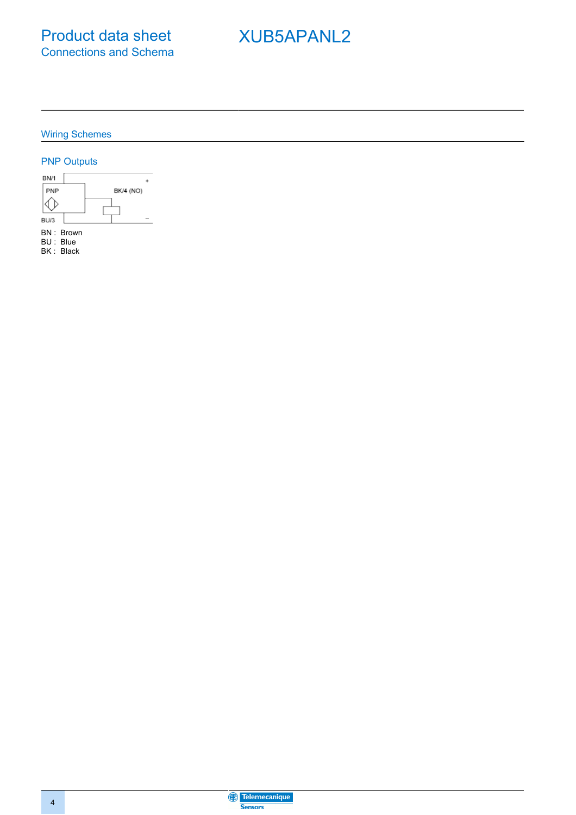# XUB5APANL2

Wiring Schemes

### PNP Outputs



Telemecanique **Sensors**